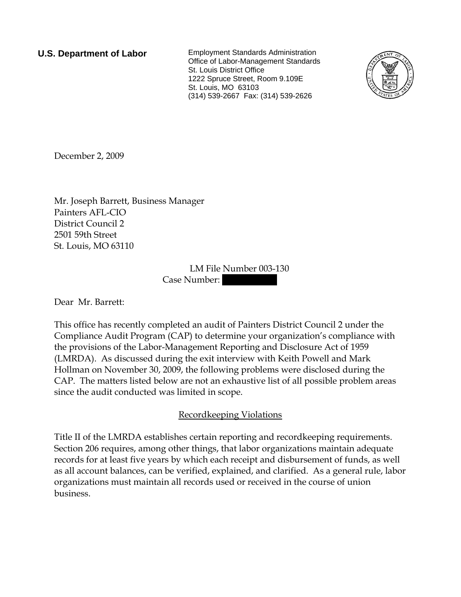**U.S. Department of Labor** Employment Standards Administration Office of Labor-Management Standards St. Louis District Office 1222 Spruce Street, Room 9.109E St. Louis, MO 63103 (314) 539-2667 Fax: (314) 539-2626



December 2, 2009

Mr. Joseph Barrett, Business Manager Painters AFL-CIO District Council 2 2501 59th Street St. Louis, MO 63110

> LM File Number 003-130 Case Number:

Dear Mr. Barrett:

This office has recently completed an audit of Painters District Council 2 under the Compliance Audit Program (CAP) to determine your organization's compliance with the provisions of the Labor-Management Reporting and Disclosure Act of 1959 (LMRDA). As discussed during the exit interview with Keith Powell and Mark Hollman on November 30, 2009, the following problems were disclosed during the CAP. The matters listed below are not an exhaustive list of all possible problem areas since the audit conducted was limited in scope.

## Recordkeeping Violations

Title II of the LMRDA establishes certain reporting and recordkeeping requirements. Section 206 requires, among other things, that labor organizations maintain adequate records for at least five years by which each receipt and disbursement of funds, as well as all account balances, can be verified, explained, and clarified. As a general rule, labor organizations must maintain all records used or received in the course of union business.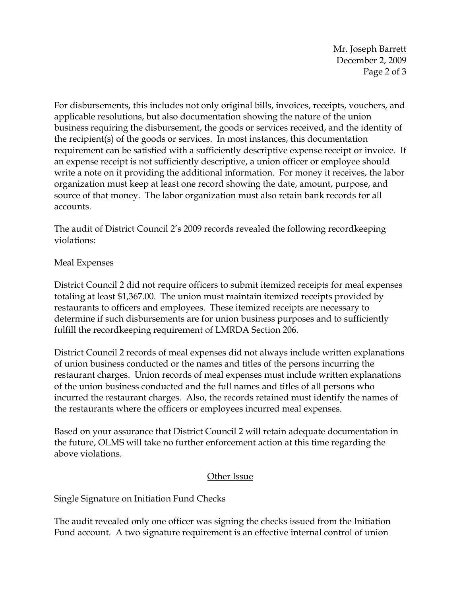Mr. Joseph Barrett December 2, 2009 Page 2 of 3

For disbursements, this includes not only original bills, invoices, receipts, vouchers, and applicable resolutions, but also documentation showing the nature of the union business requiring the disbursement, the goods or services received, and the identity of the recipient(s) of the goods or services. In most instances, this documentation requirement can be satisfied with a sufficiently descriptive expense receipt or invoice. If an expense receipt is not sufficiently descriptive, a union officer or employee should write a note on it providing the additional information. For money it receives, the labor organization must keep at least one record showing the date, amount, purpose, and source of that money. The labor organization must also retain bank records for all accounts.

The audit of District Council 2's 2009 records revealed the following recordkeeping violations:

## Meal Expenses

District Council 2 did not require officers to submit itemized receipts for meal expenses totaling at least \$1,367.00. The union must maintain itemized receipts provided by restaurants to officers and employees. These itemized receipts are necessary to determine if such disbursements are for union business purposes and to sufficiently fulfill the recordkeeping requirement of LMRDA Section 206.

District Council 2 records of meal expenses did not always include written explanations of union business conducted or the names and titles of the persons incurring the restaurant charges. Union records of meal expenses must include written explanations of the union business conducted and the full names and titles of all persons who incurred the restaurant charges. Also, the records retained must identify the names of the restaurants where the officers or employees incurred meal expenses.

Based on your assurance that District Council 2 will retain adequate documentation in the future, OLMS will take no further enforcement action at this time regarding the above violations.

## Other Issue

Single Signature on Initiation Fund Checks

The audit revealed only one officer was signing the checks issued from the Initiation Fund account. A two signature requirement is an effective internal control of union